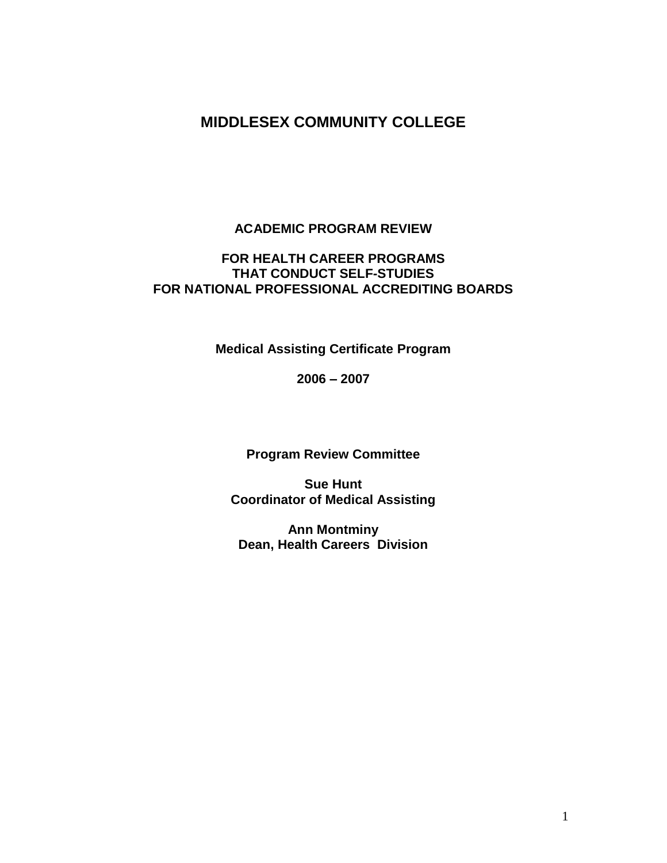# **MIDDLESEX COMMUNITY COLLEGE**

#### **ACADEMIC PROGRAM REVIEW**

### **FOR HEALTH CAREER PROGRAMS THAT CONDUCT SELF-STUDIES FOR NATIONAL PROFESSIONAL ACCREDITING BOARDS**

**Medical Assisting Certificate Program** 

**2006 – 2007**

**Program Review Committee**

**Sue Hunt Coordinator of Medical Assisting**

**Ann Montminy Dean, Health Careers Division**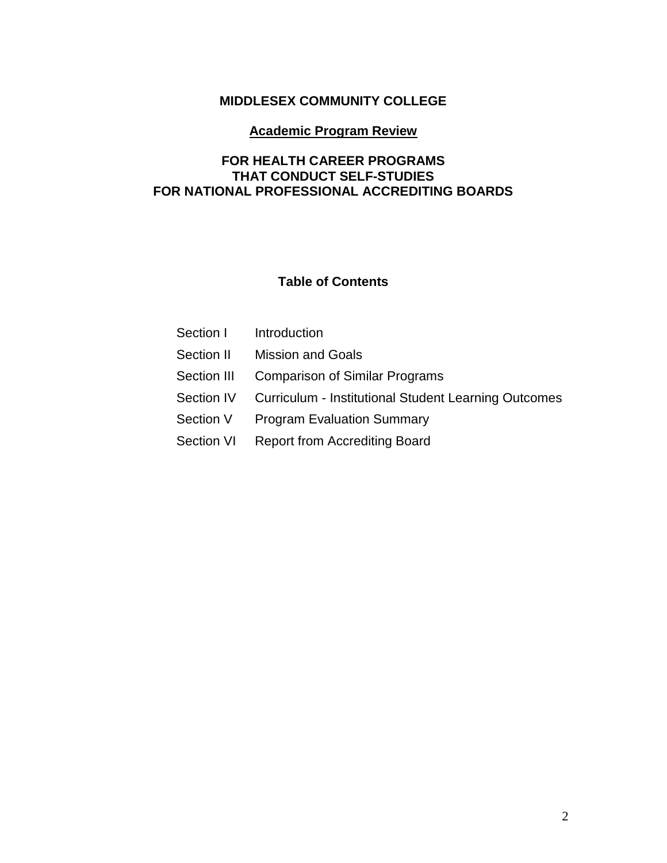## **MIDDLESEX COMMUNITY COLLEGE**

### **Academic Program Review**

### **FOR HEALTH CAREER PROGRAMS THAT CONDUCT SELF-STUDIES FOR NATIONAL PROFESSIONAL ACCREDITING BOARDS**

### **Table of Contents**

|            | Section I lntroduction                                          |
|------------|-----------------------------------------------------------------|
| Section II | <b>Mission and Goals</b>                                        |
|            | Section III Comparison of Similar Programs                      |
|            | Section IV Curriculum - Institutional Student Learning Outcomes |
| Section V  | <b>Program Evaluation Summary</b>                               |
|            | Section VI Report from Accrediting Board                        |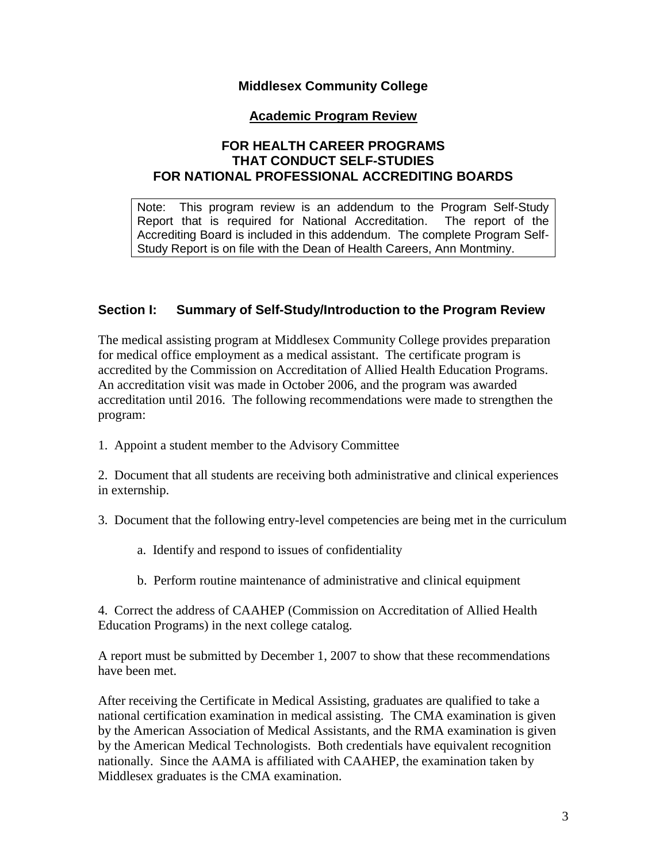### **Middlesex Community College**

### **Academic Program Review**

### **FOR HEALTH CAREER PROGRAMS THAT CONDUCT SELF-STUDIES FOR NATIONAL PROFESSIONAL ACCREDITING BOARDS**

Note: This program review is an addendum to the Program Self-Study Report that is required for National Accreditation. The report of the Accrediting Board is included in this addendum. The complete Program Self-Study Report is on file with the Dean of Health Careers, Ann Montminy.

### **Section I: Summary of Self-Study/Introduction to the Program Review**

The medical assisting program at Middlesex Community College provides preparation for medical office employment as a medical assistant. The certificate program is accredited by the Commission on Accreditation of Allied Health Education Programs. An accreditation visit was made in October 2006, and the program was awarded accreditation until 2016. The following recommendations were made to strengthen the program:

1. Appoint a student member to the Advisory Committee

2. Document that all students are receiving both administrative and clinical experiences in externship.

- 3. Document that the following entry-level competencies are being met in the curriculum
	- a. Identify and respond to issues of confidentiality
	- b. Perform routine maintenance of administrative and clinical equipment

4. Correct the address of CAAHEP (Commission on Accreditation of Allied Health Education Programs) in the next college catalog.

A report must be submitted by December 1, 2007 to show that these recommendations have been met.

After receiving the Certificate in Medical Assisting, graduates are qualified to take a national certification examination in medical assisting. The CMA examination is given by the American Association of Medical Assistants, and the RMA examination is given by the American Medical Technologists. Both credentials have equivalent recognition nationally. Since the AAMA is affiliated with CAAHEP, the examination taken by Middlesex graduates is the CMA examination.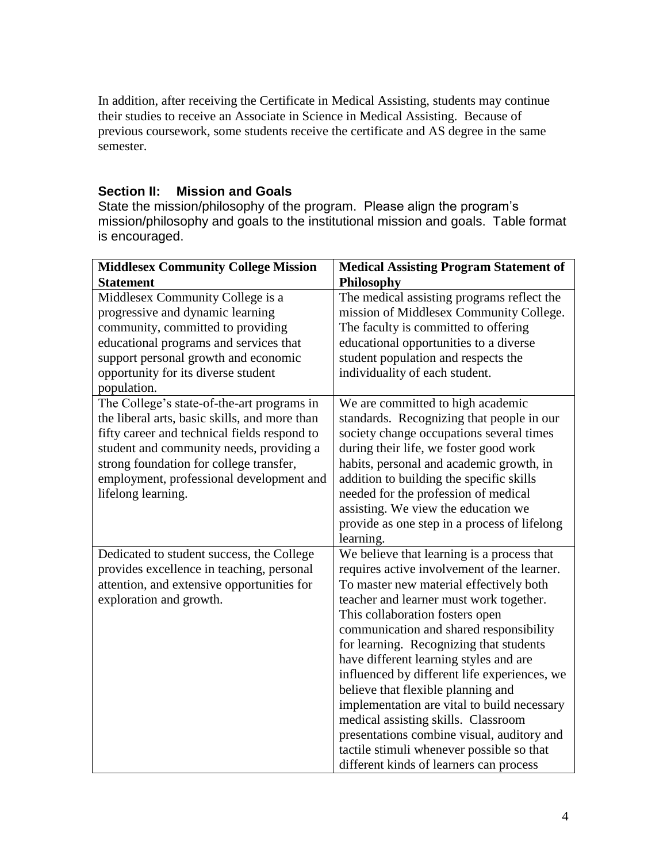In addition, after receiving the Certificate in Medical Assisting, students may continue their studies to receive an Associate in Science in Medical Assisting. Because of previous coursework, some students receive the certificate and AS degree in the same semester.

### **Section II: Mission and Goals**

State the mission/philosophy of the program. Please align the program's mission/philosophy and goals to the institutional mission and goals. Table format is encouraged.

| <b>Middlesex Community College Mission</b>                                                                                                                                                                                                                                                           | <b>Medical Assisting Program Statement of</b>                                                                                                                                                                                                                                                                                                                                                                                                                                                                                                                                                                                                                        |
|------------------------------------------------------------------------------------------------------------------------------------------------------------------------------------------------------------------------------------------------------------------------------------------------------|----------------------------------------------------------------------------------------------------------------------------------------------------------------------------------------------------------------------------------------------------------------------------------------------------------------------------------------------------------------------------------------------------------------------------------------------------------------------------------------------------------------------------------------------------------------------------------------------------------------------------------------------------------------------|
| <b>Statement</b>                                                                                                                                                                                                                                                                                     | Philosophy                                                                                                                                                                                                                                                                                                                                                                                                                                                                                                                                                                                                                                                           |
| Middlesex Community College is a<br>progressive and dynamic learning<br>community, committed to providing<br>educational programs and services that<br>support personal growth and economic<br>opportunity for its diverse student<br>population.                                                    | The medical assisting programs reflect the<br>mission of Middlesex Community College.<br>The faculty is committed to offering<br>educational opportunities to a diverse<br>student population and respects the<br>individuality of each student.                                                                                                                                                                                                                                                                                                                                                                                                                     |
| The College's state-of-the-art programs in<br>the liberal arts, basic skills, and more than<br>fifty career and technical fields respond to<br>student and community needs, providing a<br>strong foundation for college transfer,<br>employment, professional development and<br>lifelong learning. | We are committed to high academic<br>standards. Recognizing that people in our<br>society change occupations several times<br>during their life, we foster good work<br>habits, personal and academic growth, in<br>addition to building the specific skills<br>needed for the profession of medical<br>assisting. We view the education we<br>provide as one step in a process of lifelong<br>learning.                                                                                                                                                                                                                                                             |
| Dedicated to student success, the College<br>provides excellence in teaching, personal<br>attention, and extensive opportunities for<br>exploration and growth.                                                                                                                                      | We believe that learning is a process that<br>requires active involvement of the learner.<br>To master new material effectively both<br>teacher and learner must work together.<br>This collaboration fosters open<br>communication and shared responsibility<br>for learning. Recognizing that students<br>have different learning styles and are<br>influenced by different life experiences, we<br>believe that flexible planning and<br>implementation are vital to build necessary<br>medical assisting skills. Classroom<br>presentations combine visual, auditory and<br>tactile stimuli whenever possible so that<br>different kinds of learners can process |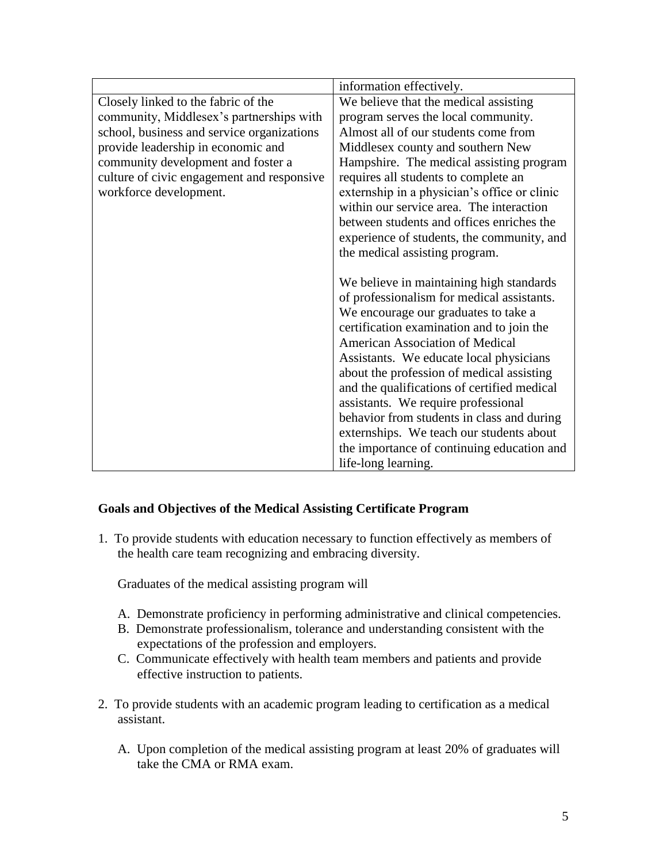|                                            | information effectively.                     |
|--------------------------------------------|----------------------------------------------|
| Closely linked to the fabric of the        | We believe that the medical assisting        |
| community, Middlesex's partnerships with   | program serves the local community.          |
| school, business and service organizations | Almost all of our students come from         |
| provide leadership in economic and         | Middlesex county and southern New            |
| community development and foster a         | Hampshire. The medical assisting program     |
| culture of civic engagement and responsive | requires all students to complete an         |
| workforce development.                     | externship in a physician's office or clinic |
|                                            | within our service area. The interaction     |
|                                            | between students and offices enriches the    |
|                                            | experience of students, the community, and   |
|                                            | the medical assisting program.               |
|                                            |                                              |
|                                            | We believe in maintaining high standards     |
|                                            | of professionalism for medical assistants.   |
|                                            | We encourage our graduates to take a         |
|                                            | certification examination and to join the    |
|                                            | <b>American Association of Medical</b>       |
|                                            | Assistants. We educate local physicians      |
|                                            | about the profession of medical assisting    |
|                                            | and the qualifications of certified medical  |
|                                            | assistants. We require professional          |
|                                            | behavior from students in class and during   |
|                                            | externships. We teach our students about     |
|                                            | the importance of continuing education and   |
|                                            | life-long learning.                          |

### **Goals and Objectives of the Medical Assisting Certificate Program**

1. To provide students with education necessary to function effectively as members of the health care team recognizing and embracing diversity.

Graduates of the medical assisting program will

- A. Demonstrate proficiency in performing administrative and clinical competencies.
- B. Demonstrate professionalism, tolerance and understanding consistent with the expectations of the profession and employers.
- C. Communicate effectively with health team members and patients and provide effective instruction to patients.
- 2. To provide students with an academic program leading to certification as a medical assistant.
	- A. Upon completion of the medical assisting program at least 20% of graduates will take the CMA or RMA exam.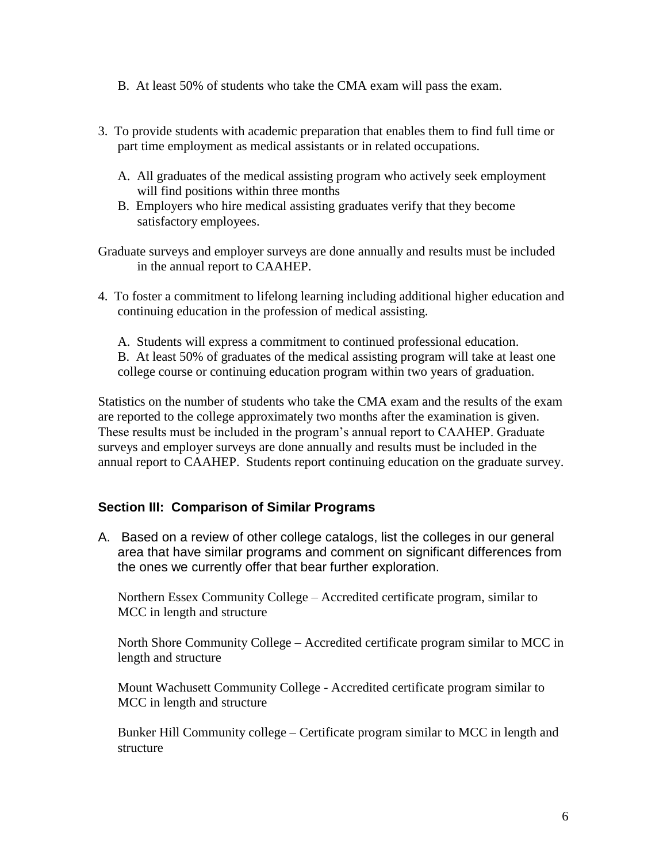- B. At least 50% of students who take the CMA exam will pass the exam.
- 3. To provide students with academic preparation that enables them to find full time or part time employment as medical assistants or in related occupations.
	- A. All graduates of the medical assisting program who actively seek employment will find positions within three months
	- B. Employers who hire medical assisting graduates verify that they become satisfactory employees.
- Graduate surveys and employer surveys are done annually and results must be included in the annual report to CAAHEP.
- 4. To foster a commitment to lifelong learning including additional higher education and continuing education in the profession of medical assisting.
	- A. Students will express a commitment to continued professional education.
	- B. At least 50% of graduates of the medical assisting program will take at least one college course or continuing education program within two years of graduation.

Statistics on the number of students who take the CMA exam and the results of the exam are reported to the college approximately two months after the examination is given. These results must be included in the program's annual report to CAAHEP. Graduate surveys and employer surveys are done annually and results must be included in the annual report to CAAHEP. Students report continuing education on the graduate survey.

### **Section III: Comparison of Similar Programs**

A. Based on a review of other college catalogs, list the colleges in our general area that have similar programs and comment on significant differences from the ones we currently offer that bear further exploration.

Northern Essex Community College – Accredited certificate program, similar to MCC in length and structure

North Shore Community College – Accredited certificate program similar to MCC in length and structure

Mount Wachusett Community College - Accredited certificate program similar to MCC in length and structure

Bunker Hill Community college – Certificate program similar to MCC in length and structure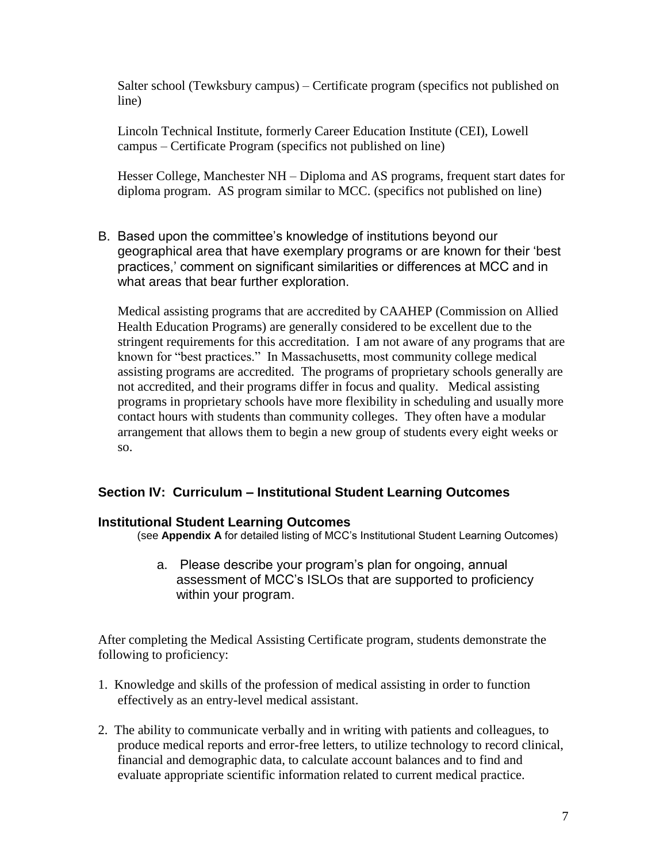Salter school (Tewksbury campus) – Certificate program (specifics not published on line)

Lincoln Technical Institute, formerly Career Education Institute (CEI), Lowell campus – Certificate Program (specifics not published on line)

Hesser College, Manchester NH – Diploma and AS programs, frequent start dates for diploma program. AS program similar to MCC. (specifics not published on line)

B. Based upon the committee's knowledge of institutions beyond our geographical area that have exemplary programs or are known for their 'best practices,' comment on significant similarities or differences at MCC and in what areas that bear further exploration.

Medical assisting programs that are accredited by CAAHEP (Commission on Allied Health Education Programs) are generally considered to be excellent due to the stringent requirements for this accreditation. I am not aware of any programs that are known for "best practices." In Massachusetts, most community college medical assisting programs are accredited. The programs of proprietary schools generally are not accredited, and their programs differ in focus and quality. Medical assisting programs in proprietary schools have more flexibility in scheduling and usually more contact hours with students than community colleges. They often have a modular arrangement that allows them to begin a new group of students every eight weeks or so.

### **Section IV: Curriculum – Institutional Student Learning Outcomes**

#### **Institutional Student Learning Outcomes**

(see **Appendix A** for detailed listing of MCC's Institutional Student Learning Outcomes)

a. Please describe your program's plan for ongoing, annual assessment of MCC's ISLOs that are supported to proficiency within your program.

After completing the Medical Assisting Certificate program, students demonstrate the following to proficiency:

- 1. Knowledge and skills of the profession of medical assisting in order to function effectively as an entry-level medical assistant.
- 2. The ability to communicate verbally and in writing with patients and colleagues, to produce medical reports and error-free letters, to utilize technology to record clinical, financial and demographic data, to calculate account balances and to find and evaluate appropriate scientific information related to current medical practice.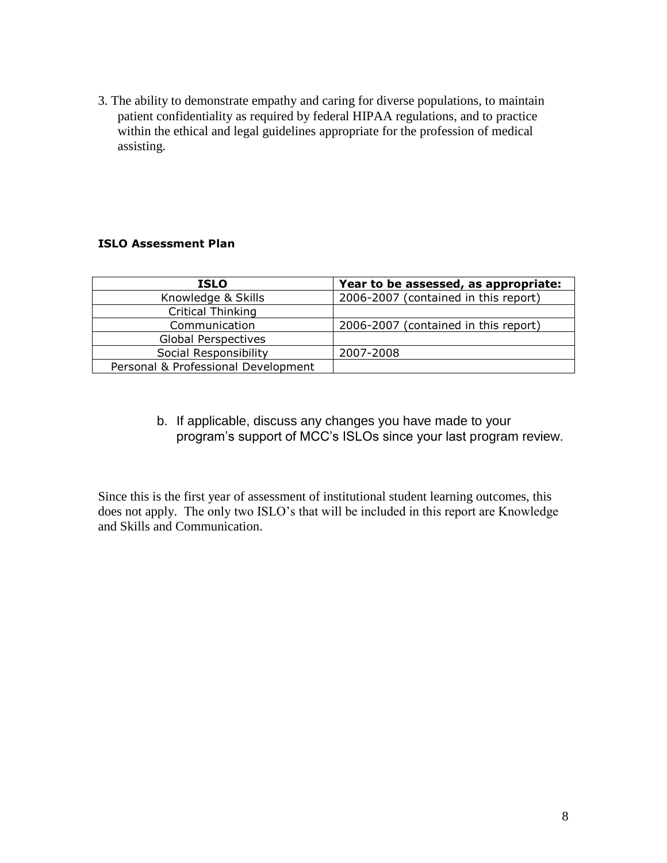3. The ability to demonstrate empathy and caring for diverse populations, to maintain patient confidentiality as required by federal HIPAA regulations, and to practice within the ethical and legal guidelines appropriate for the profession of medical assisting.

#### **ISLO Assessment Plan**

| <b>ISLO</b>                         | Year to be assessed, as appropriate: |
|-------------------------------------|--------------------------------------|
| Knowledge & Skills                  | 2006-2007 (contained in this report) |
| Critical Thinking                   |                                      |
| Communication                       | 2006-2007 (contained in this report) |
| <b>Global Perspectives</b>          |                                      |
| Social Responsibility               | 2007-2008                            |
| Personal & Professional Development |                                      |

b. If applicable, discuss any changes you have made to your program's support of MCC's ISLOs since your last program review.

Since this is the first year of assessment of institutional student learning outcomes, this does not apply. The only two ISLO's that will be included in this report are Knowledge and Skills and Communication.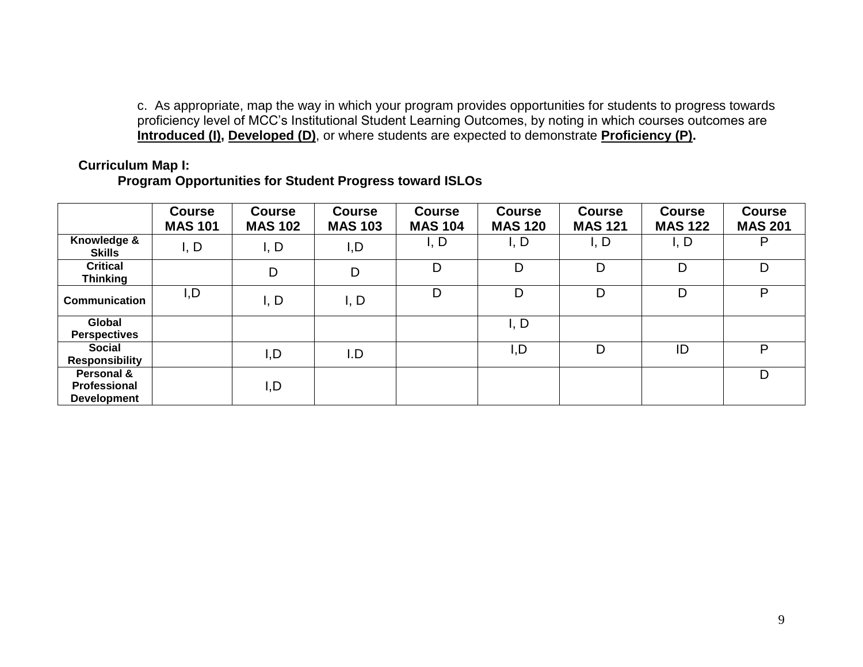c. As appropriate, map the way in which your program provides opportunities for students to progress towards proficiency level of MCC's Institutional Student Learning Outcomes, by noting in which courses outcomes are **Introduced (I), Developed (D)**, or where students are expected to demonstrate **Proficiency (P).**

### **Curriculum Map I:**

### **Program Opportunities for Student Progress toward ISLOs**

|                                                  | <b>Course</b><br><b>MAS 101</b> | <b>Course</b><br><b>MAS 102</b> | <b>Course</b><br><b>MAS 103</b> | <b>Course</b><br><b>MAS 104</b> | <b>Course</b><br><b>MAS 120</b> | <b>Course</b><br><b>MAS 121</b> | <b>Course</b><br><b>MAS 122</b> | <b>Course</b><br><b>MAS 201</b> |
|--------------------------------------------------|---------------------------------|---------------------------------|---------------------------------|---------------------------------|---------------------------------|---------------------------------|---------------------------------|---------------------------------|
| Knowledge &<br><b>Skills</b>                     | I, D                            | I, D                            | I, D                            | I, D                            | I, D                            | I, D                            | I, D                            | P                               |
| <b>Critical</b><br><b>Thinking</b>               |                                 | D                               | D                               | D                               | D                               | D                               | D                               | D                               |
| <b>Communication</b>                             | I, D                            | I, D                            | I, D                            | D                               | D                               | D                               | D                               | P                               |
| Global<br><b>Perspectives</b>                    |                                 |                                 |                                 |                                 | I, D                            |                                 |                                 |                                 |
| <b>Social</b><br><b>Responsibility</b>           |                                 | I,D                             | I.D                             |                                 | I,D                             | D                               | ID                              | P                               |
| Personal &<br>Professional<br><b>Development</b> |                                 | I,D                             |                                 |                                 |                                 |                                 |                                 | D                               |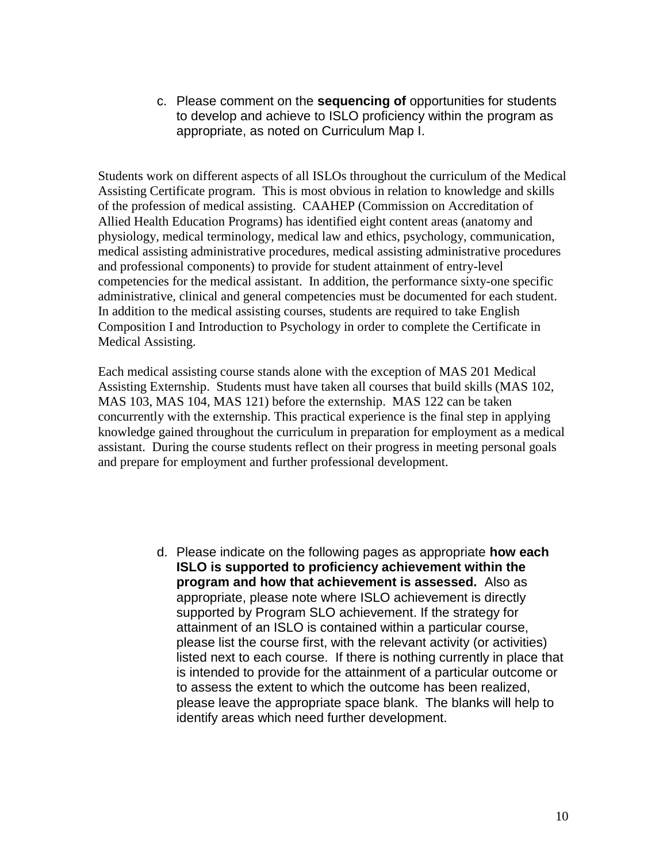c. Please comment on the **sequencing of** opportunities for students to develop and achieve to ISLO proficiency within the program as appropriate, as noted on Curriculum Map I.

Students work on different aspects of all ISLOs throughout the curriculum of the Medical Assisting Certificate program. This is most obvious in relation to knowledge and skills of the profession of medical assisting. CAAHEP (Commission on Accreditation of Allied Health Education Programs) has identified eight content areas (anatomy and physiology, medical terminology, medical law and ethics, psychology, communication, medical assisting administrative procedures, medical assisting administrative procedures and professional components) to provide for student attainment of entry-level competencies for the medical assistant. In addition, the performance sixty-one specific administrative, clinical and general competencies must be documented for each student. In addition to the medical assisting courses, students are required to take English Composition I and Introduction to Psychology in order to complete the Certificate in Medical Assisting.

Each medical assisting course stands alone with the exception of MAS 201 Medical Assisting Externship. Students must have taken all courses that build skills (MAS 102, MAS 103, MAS 104, MAS 121) before the externship. MAS 122 can be taken concurrently with the externship. This practical experience is the final step in applying knowledge gained throughout the curriculum in preparation for employment as a medical assistant. During the course students reflect on their progress in meeting personal goals and prepare for employment and further professional development.

> d. Please indicate on the following pages as appropriate **how each ISLO is supported to proficiency achievement within the program and how that achievement is assessed.** Also as appropriate, please note where ISLO achievement is directly supported by Program SLO achievement. If the strategy for attainment of an ISLO is contained within a particular course, please list the course first, with the relevant activity (or activities) listed next to each course. If there is nothing currently in place that is intended to provide for the attainment of a particular outcome or to assess the extent to which the outcome has been realized, please leave the appropriate space blank. The blanks will help to identify areas which need further development.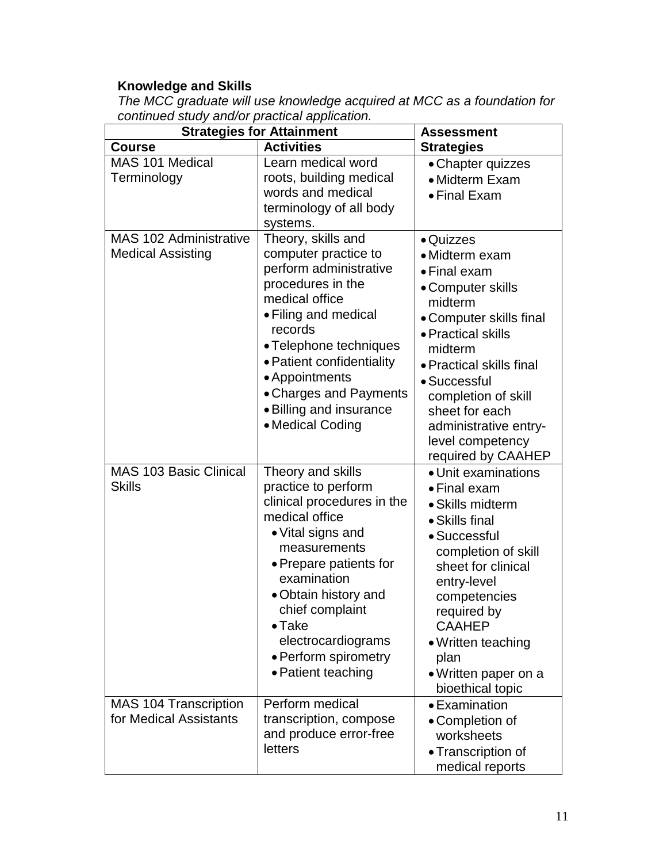#### **Knowledge and Skills**

*The MCC graduate will use knowledge acquired at MCC as a foundation for continued study and/or practical application.*

| <b>Strategies for Attainment</b>                          | Assessment                                                                                                                                                                                                                                                                                              |                                                                                                                                                                                                                                                                                                 |
|-----------------------------------------------------------|---------------------------------------------------------------------------------------------------------------------------------------------------------------------------------------------------------------------------------------------------------------------------------------------------------|-------------------------------------------------------------------------------------------------------------------------------------------------------------------------------------------------------------------------------------------------------------------------------------------------|
| <b>Course</b>                                             | <b>Activities</b>                                                                                                                                                                                                                                                                                       | <b>Strategies</b>                                                                                                                                                                                                                                                                               |
| MAS 101 Medical<br>Terminology                            | Learn medical word<br>roots, building medical<br>words and medical<br>terminology of all body<br>systems.                                                                                                                                                                                               | • Chapter quizzes<br>• Midterm Exam<br>• Final Exam                                                                                                                                                                                                                                             |
| <b>MAS 102 Administrative</b><br><b>Medical Assisting</b> | Theory, skills and<br>computer practice to<br>perform administrative<br>procedures in the<br>medical office<br>• Filing and medical<br>records<br>• Telephone techniques<br>• Patient confidentiality<br>• Appointments<br>• Charges and Payments<br>· Billing and insurance<br>• Medical Coding        | • Quizzes<br>· Midterm exam<br>• Final exam<br>• Computer skills<br>midterm<br>• Computer skills final<br>• Practical skills<br>midterm<br>• Practical skills final<br>• Successful<br>completion of skill<br>sheet for each<br>administrative entry-<br>level competency<br>required by CAAHEP |
| <b>MAS 103 Basic Clinical</b><br><b>Skills</b>            | Theory and skills<br>practice to perform<br>clinical procedures in the<br>medical office<br>• Vital signs and<br>measurements<br>• Prepare patients for<br>examination<br>• Obtain history and<br>chief complaint<br>$\bullet$ Take<br>electrocardiograms<br>• Perform spirometry<br>• Patient teaching | • Unit examinations<br>• Final exam<br>• Skills midterm<br>• Skills final<br>• Successful<br>completion of skill<br>sheet for clinical<br>entry-level<br>competencies<br>required by<br><b>CAAHEP</b><br>• Written teaching<br>plan<br>· Written paper on a<br>bioethical topic                 |
| MAS 104 Transcription<br>for Medical Assistants           | Perform medical<br>transcription, compose<br>and produce error-free<br>letters                                                                                                                                                                                                                          | • Examination<br>• Completion of<br>worksheets<br>• Transcription of<br>medical reports                                                                                                                                                                                                         |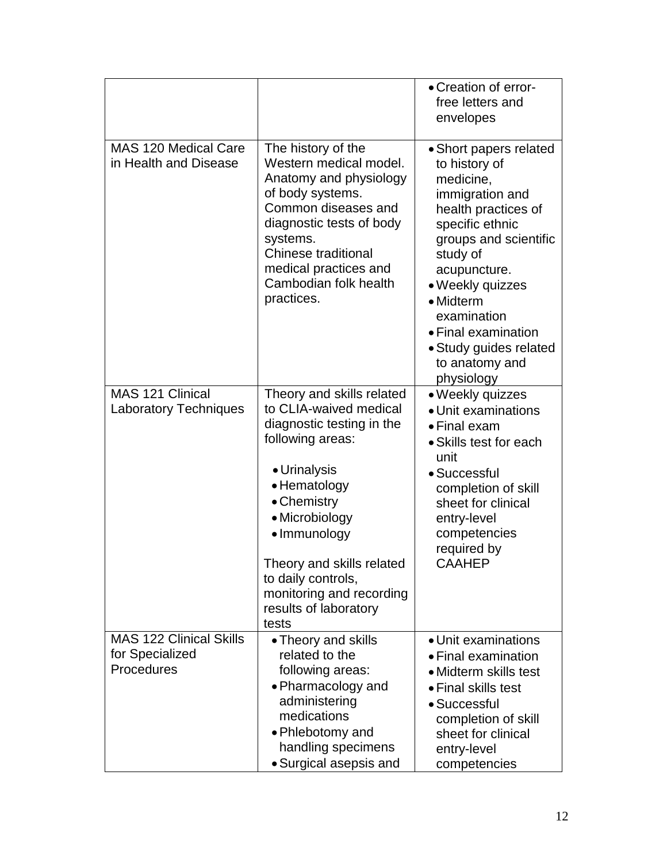|                                                                 |                                                                                                                                                                                                                                                                           | • Creation of error-<br>free letters and<br>envelopes                                                                                                                                                                                                                                                   |
|-----------------------------------------------------------------|---------------------------------------------------------------------------------------------------------------------------------------------------------------------------------------------------------------------------------------------------------------------------|---------------------------------------------------------------------------------------------------------------------------------------------------------------------------------------------------------------------------------------------------------------------------------------------------------|
| <b>MAS 120 Medical Care</b><br>in Health and Disease            | The history of the<br>Western medical model.<br>Anatomy and physiology<br>of body systems.<br>Common diseases and<br>diagnostic tests of body<br>systems.<br>Chinese traditional<br>medical practices and<br>Cambodian folk health<br>practices.                          | • Short papers related<br>to history of<br>medicine,<br>immigration and<br>health practices of<br>specific ethnic<br>groups and scientific<br>study of<br>acupuncture.<br>• Weekly quizzes<br>• Midterm<br>examination<br>• Final examination<br>• Study guides related<br>to anatomy and<br>physiology |
| MAS 121 Clinical                                                | Theory and skills related                                                                                                                                                                                                                                                 | · Weekly quizzes                                                                                                                                                                                                                                                                                        |
| <b>Laboratory Techniques</b>                                    | to CLIA-waived medical<br>diagnostic testing in the<br>following areas:<br>• Urinalysis<br>• Hematology<br>• Chemistry<br>• Microbiology<br>• Immunology<br>Theory and skills related<br>to daily controls,<br>monitoring and recording<br>results of laboratory<br>tests | • Unit examinations<br>• Final exam<br>• Skills test for each<br>unit<br>• Successful<br>completion of skill<br>sheet for clinical<br>entry-level<br>competencies<br>required by<br><b>CAAHEP</b>                                                                                                       |
| <b>MAS 122 Clinical Skills</b><br>for Specialized<br>Procedures | • Theory and skills<br>related to the<br>following areas:<br>• Pharmacology and<br>administering<br>medications<br>• Phlebotomy and<br>handling specimens<br>• Surgical asepsis and                                                                                       | • Unit examinations<br>• Final examination<br>• Midterm skills test<br>• Final skills test<br>• Successful<br>completion of skill<br>sheet for clinical<br>entry-level<br>competencies                                                                                                                  |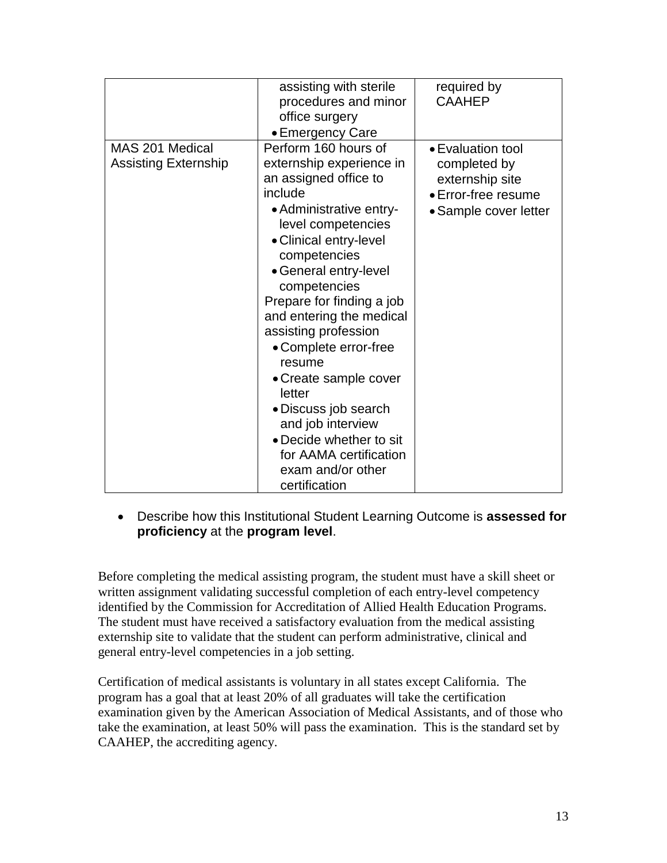|                                                | assisting with sterile<br>procedures and minor<br>office surgery<br>• Emergency Care                                                                                                                                                                                                                                                                                                                                                                                                                                    | required by<br><b>CAAHEP</b>                                                                         |
|------------------------------------------------|-------------------------------------------------------------------------------------------------------------------------------------------------------------------------------------------------------------------------------------------------------------------------------------------------------------------------------------------------------------------------------------------------------------------------------------------------------------------------------------------------------------------------|------------------------------------------------------------------------------------------------------|
| MAS 201 Medical<br><b>Assisting Externship</b> | Perform 160 hours of<br>externship experience in<br>an assigned office to<br>include<br>• Administrative entry-<br>level competencies<br>• Clinical entry-level<br>competencies<br>• General entry-level<br>competencies<br>Prepare for finding a job<br>and entering the medical<br>assisting profession<br>• Complete error-free<br>resume<br>• Create sample cover<br>letter<br>• Discuss job search<br>and job interview<br>• Decide whether to sit<br>for AAMA certification<br>exam and/or other<br>certification | • Evaluation tool<br>completed by<br>externship site<br>• Error-free resume<br>• Sample cover letter |

### Describe how this Institutional Student Learning Outcome is **assessed for proficiency** at the **program level**.

Before completing the medical assisting program, the student must have a skill sheet or written assignment validating successful completion of each entry-level competency identified by the Commission for Accreditation of Allied Health Education Programs. The student must have received a satisfactory evaluation from the medical assisting externship site to validate that the student can perform administrative, clinical and general entry-level competencies in a job setting.

Certification of medical assistants is voluntary in all states except California. The program has a goal that at least 20% of all graduates will take the certification examination given by the American Association of Medical Assistants, and of those who take the examination, at least 50% will pass the examination. This is the standard set by CAAHEP, the accrediting agency.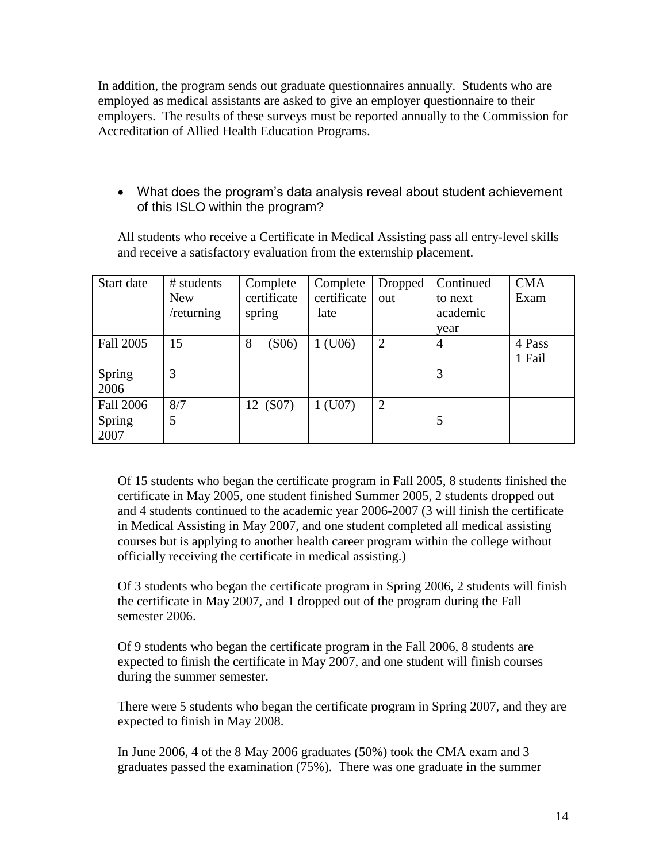In addition, the program sends out graduate questionnaires annually. Students who are employed as medical assistants are asked to give an employer questionnaire to their employers. The results of these surveys must be reported annually to the Commission for Accreditation of Allied Health Education Programs.

 What does the program's data analysis reveal about student achievement of this ISLO within the program?

All students who receive a Certificate in Medical Assisting pass all entry-level skills and receive a satisfactory evaluation from the externship placement.

| Start date       | # students | Complete    | Complete    | Dropped        | Continued      | <b>CMA</b> |
|------------------|------------|-------------|-------------|----------------|----------------|------------|
|                  | <b>New</b> | certificate | certificate | out            | to next        | Exam       |
|                  | /returning | spring      | late        |                | academic       |            |
|                  |            |             |             |                | year           |            |
| Fall 2005        | 15         | 8<br>(S06)  | 1 (U06)     | $\overline{2}$ | $\overline{4}$ | 4 Pass     |
|                  |            |             |             |                |                | 1 Fail     |
| Spring           | 3          |             |             |                | 3              |            |
| 2006             |            |             |             |                |                |            |
| <b>Fall 2006</b> | 8/7        | (S07)<br>12 | 1 (U07)     | $\overline{2}$ |                |            |
| Spring           | 5          |             |             |                | 5              |            |
| 2007             |            |             |             |                |                |            |

Of 15 students who began the certificate program in Fall 2005, 8 students finished the certificate in May 2005, one student finished Summer 2005, 2 students dropped out and 4 students continued to the academic year 2006-2007 (3 will finish the certificate in Medical Assisting in May 2007, and one student completed all medical assisting courses but is applying to another health career program within the college without officially receiving the certificate in medical assisting.)

Of 3 students who began the certificate program in Spring 2006, 2 students will finish the certificate in May 2007, and 1 dropped out of the program during the Fall semester 2006.

Of 9 students who began the certificate program in the Fall 2006, 8 students are expected to finish the certificate in May 2007, and one student will finish courses during the summer semester.

There were 5 students who began the certificate program in Spring 2007, and they are expected to finish in May 2008.

In June 2006, 4 of the 8 May 2006 graduates (50%) took the CMA exam and 3 graduates passed the examination (75%). There was one graduate in the summer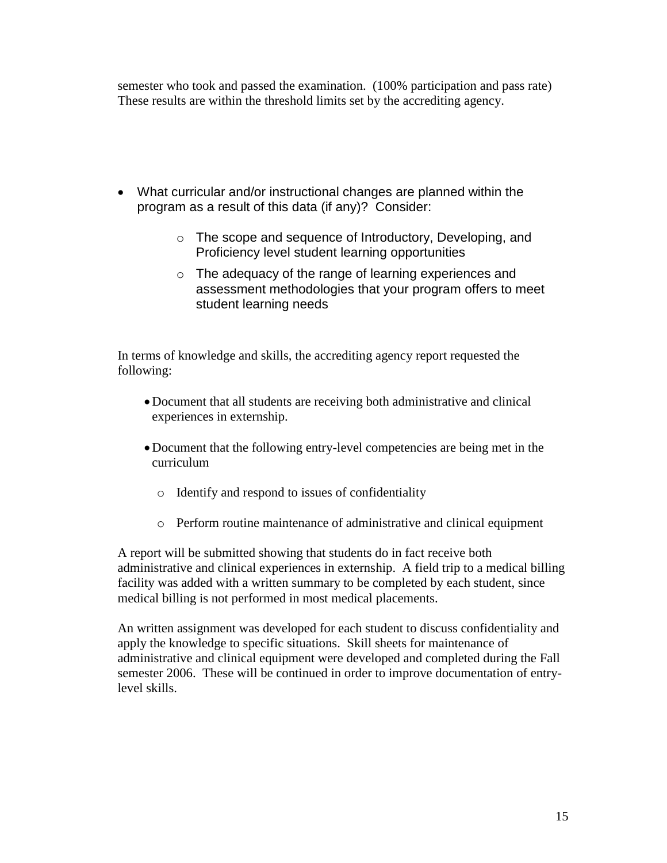semester who took and passed the examination. (100% participation and pass rate) These results are within the threshold limits set by the accrediting agency.

- What curricular and/or instructional changes are planned within the program as a result of this data (if any)? Consider:
	- o The scope and sequence of Introductory, Developing, and Proficiency level student learning opportunities
	- o The adequacy of the range of learning experiences and assessment methodologies that your program offers to meet student learning needs

In terms of knowledge and skills, the accrediting agency report requested the following:

- Document that all students are receiving both administrative and clinical experiences in externship.
- Document that the following entry-level competencies are being met in the curriculum
	- o Identify and respond to issues of confidentiality
	- o Perform routine maintenance of administrative and clinical equipment

A report will be submitted showing that students do in fact receive both administrative and clinical experiences in externship. A field trip to a medical billing facility was added with a written summary to be completed by each student, since medical billing is not performed in most medical placements.

An written assignment was developed for each student to discuss confidentiality and apply the knowledge to specific situations. Skill sheets for maintenance of administrative and clinical equipment were developed and completed during the Fall semester 2006. These will be continued in order to improve documentation of entrylevel skills.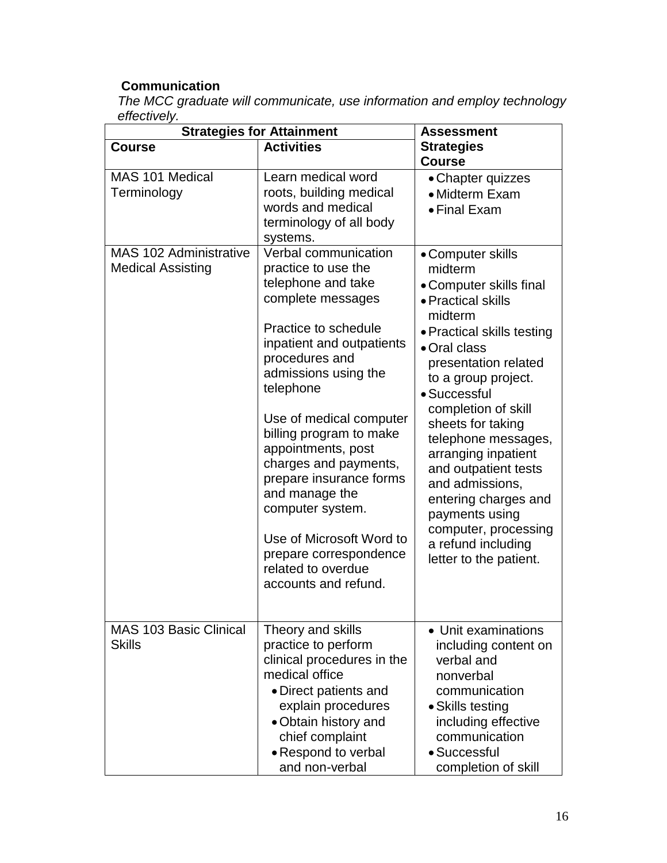## **Communication**

*The MCC graduate will communicate, use information and employ technology effectively.*

| <b>Strategies for Attainment</b>                          | <b>Assessment</b>                                                                                                                                                                                                                                                                                                                                                                                                                                                            |                                                                                                                                                                                                                                                                                                                                                                                                                                                              |
|-----------------------------------------------------------|------------------------------------------------------------------------------------------------------------------------------------------------------------------------------------------------------------------------------------------------------------------------------------------------------------------------------------------------------------------------------------------------------------------------------------------------------------------------------|--------------------------------------------------------------------------------------------------------------------------------------------------------------------------------------------------------------------------------------------------------------------------------------------------------------------------------------------------------------------------------------------------------------------------------------------------------------|
| <b>Course</b>                                             | <b>Activities</b>                                                                                                                                                                                                                                                                                                                                                                                                                                                            | <b>Strategies</b><br><b>Course</b>                                                                                                                                                                                                                                                                                                                                                                                                                           |
| MAS 101 Medical<br>Terminology                            | Learn medical word<br>roots, building medical<br>words and medical<br>terminology of all body<br>systems.                                                                                                                                                                                                                                                                                                                                                                    | • Chapter quizzes<br>• Midterm Exam<br>• Final Exam                                                                                                                                                                                                                                                                                                                                                                                                          |
| <b>MAS 102 Administrative</b><br><b>Medical Assisting</b> | Verbal communication<br>practice to use the<br>telephone and take<br>complete messages<br>Practice to schedule<br>inpatient and outpatients<br>procedures and<br>admissions using the<br>telephone<br>Use of medical computer<br>billing program to make<br>appointments, post<br>charges and payments,<br>prepare insurance forms<br>and manage the<br>computer system.<br>Use of Microsoft Word to<br>prepare correspondence<br>related to overdue<br>accounts and refund. | • Computer skills<br>midterm<br>• Computer skills final<br>• Practical skills<br>midterm<br>• Practical skills testing<br>• Oral class<br>presentation related<br>to a group project.<br>· Successful<br>completion of skill<br>sheets for taking<br>telephone messages,<br>arranging inpatient<br>and outpatient tests<br>and admissions,<br>entering charges and<br>payments using<br>computer, processing<br>a refund including<br>letter to the patient. |
| MAS 103 Basic Clinical<br><b>Skills</b>                   | Theory and skills<br>practice to perform<br>clinical procedures in the<br>medical office<br>• Direct patients and<br>explain procedures<br>• Obtain history and<br>chief complaint<br>• Respond to verbal<br>and non-verbal                                                                                                                                                                                                                                                  | • Unit examinations<br>including content on<br>verbal and<br>nonverbal<br>communication<br>• Skills testing<br>including effective<br>communication<br>· Successful<br>completion of skill                                                                                                                                                                                                                                                                   |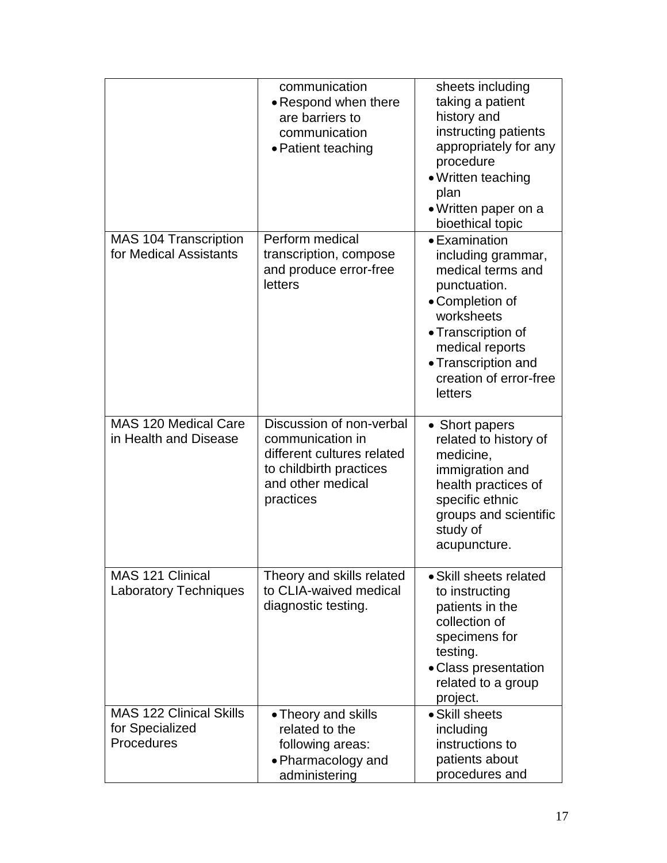|                                                                 | communication<br>• Respond when there<br>are barriers to<br>communication<br>• Patient teaching                                         | sheets including<br>taking a patient<br>history and<br>instructing patients<br>appropriately for any<br>procedure<br>• Written teaching<br>plan<br>• Written paper on a<br>bioethical topic                    |
|-----------------------------------------------------------------|-----------------------------------------------------------------------------------------------------------------------------------------|----------------------------------------------------------------------------------------------------------------------------------------------------------------------------------------------------------------|
| <b>MAS 104 Transcription</b><br>for Medical Assistants          | Perform medical<br>transcription, compose<br>and produce error-free<br>letters                                                          | • Examination<br>including grammar,<br>medical terms and<br>punctuation.<br>• Completion of<br>worksheets<br>• Transcription of<br>medical reports<br>• Transcription and<br>creation of error-free<br>letters |
| MAS 120 Medical Care<br>in Health and Disease                   | Discussion of non-verbal<br>communication in<br>different cultures related<br>to childbirth practices<br>and other medical<br>practices | • Short papers<br>related to history of<br>medicine,<br>immigration and<br>health practices of<br>specific ethnic<br>groups and scientific<br>study of<br>acupuncture.                                         |
| <b>MAS 121 Clinical</b><br><b>Laboratory Techniques</b>         | Theory and skills related<br>to CLIA-waived medical<br>diagnostic testing.                                                              | • Skill sheets related<br>to instructing<br>patients in the<br>collection of<br>specimens for<br>testing.<br>• Class presentation<br>related to a group<br>project.                                            |
| <b>MAS 122 Clinical Skills</b><br>for Specialized<br>Procedures | • Theory and skills<br>related to the<br>following areas:<br>• Pharmacology and<br>administering                                        | • Skill sheets<br>including<br>instructions to<br>patients about<br>procedures and                                                                                                                             |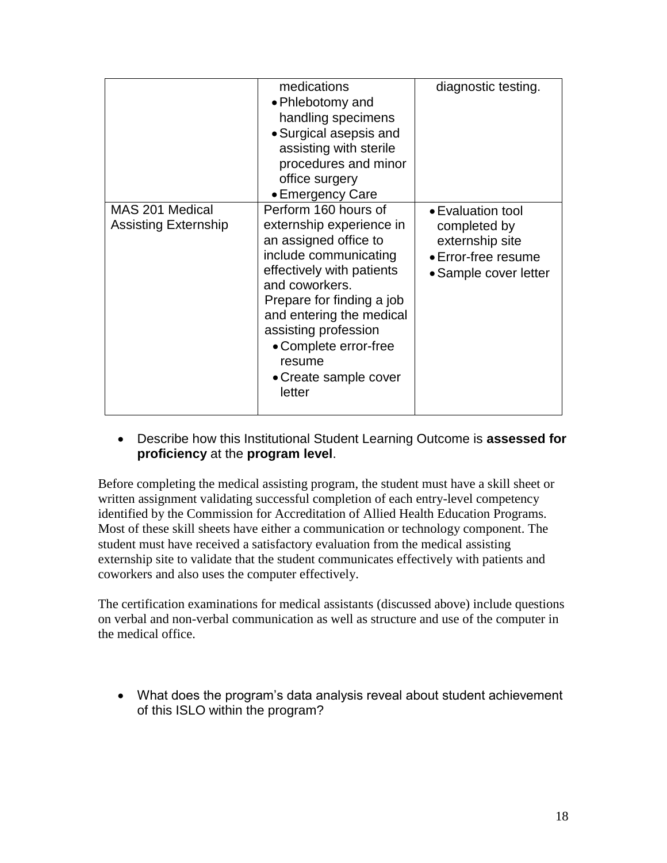|                                                | medications<br>• Phlebotomy and<br>handling specimens<br>• Surgical asepsis and<br>assisting with sterile<br>procedures and minor<br>office surgery<br>• Emergency Care                                                                                                                                  | diagnostic testing.                                                                                  |
|------------------------------------------------|----------------------------------------------------------------------------------------------------------------------------------------------------------------------------------------------------------------------------------------------------------------------------------------------------------|------------------------------------------------------------------------------------------------------|
| MAS 201 Medical<br><b>Assisting Externship</b> | Perform 160 hours of<br>externship experience in<br>an assigned office to<br>include communicating<br>effectively with patients<br>and coworkers.<br>Prepare for finding a job<br>and entering the medical<br>assisting profession<br>• Complete error-free<br>resume<br>• Create sample cover<br>letter | • Evaluation tool<br>completed by<br>externship site<br>• Error-free resume<br>• Sample cover letter |

 Describe how this Institutional Student Learning Outcome is **assessed for proficiency** at the **program level**.

Before completing the medical assisting program, the student must have a skill sheet or written assignment validating successful completion of each entry-level competency identified by the Commission for Accreditation of Allied Health Education Programs. Most of these skill sheets have either a communication or technology component. The student must have received a satisfactory evaluation from the medical assisting externship site to validate that the student communicates effectively with patients and coworkers and also uses the computer effectively.

The certification examinations for medical assistants (discussed above) include questions on verbal and non-verbal communication as well as structure and use of the computer in the medical office.

 What does the program's data analysis reveal about student achievement of this ISLO within the program?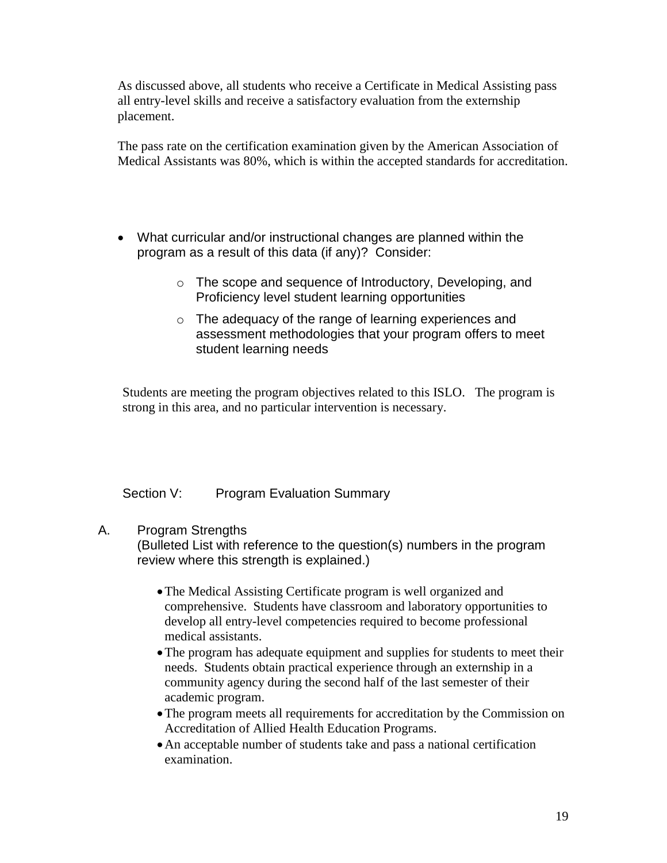As discussed above, all students who receive a Certificate in Medical Assisting pass all entry-level skills and receive a satisfactory evaluation from the externship placement.

The pass rate on the certification examination given by the American Association of Medical Assistants was 80%, which is within the accepted standards for accreditation.

- What curricular and/or instructional changes are planned within the program as a result of this data (if any)? Consider:
	- o The scope and sequence of Introductory, Developing, and Proficiency level student learning opportunities
	- o The adequacy of the range of learning experiences and assessment methodologies that your program offers to meet student learning needs

Students are meeting the program objectives related to this ISLO. The program is strong in this area, and no particular intervention is necessary.

### Section V: Program Evaluation Summary

### A. Program Strengths

(Bulleted List with reference to the question(s) numbers in the program review where this strength is explained.)

- The Medical Assisting Certificate program is well organized and comprehensive. Students have classroom and laboratory opportunities to develop all entry-level competencies required to become professional medical assistants.
- The program has adequate equipment and supplies for students to meet their needs. Students obtain practical experience through an externship in a community agency during the second half of the last semester of their academic program.
- The program meets all requirements for accreditation by the Commission on Accreditation of Allied Health Education Programs.
- An acceptable number of students take and pass a national certification examination.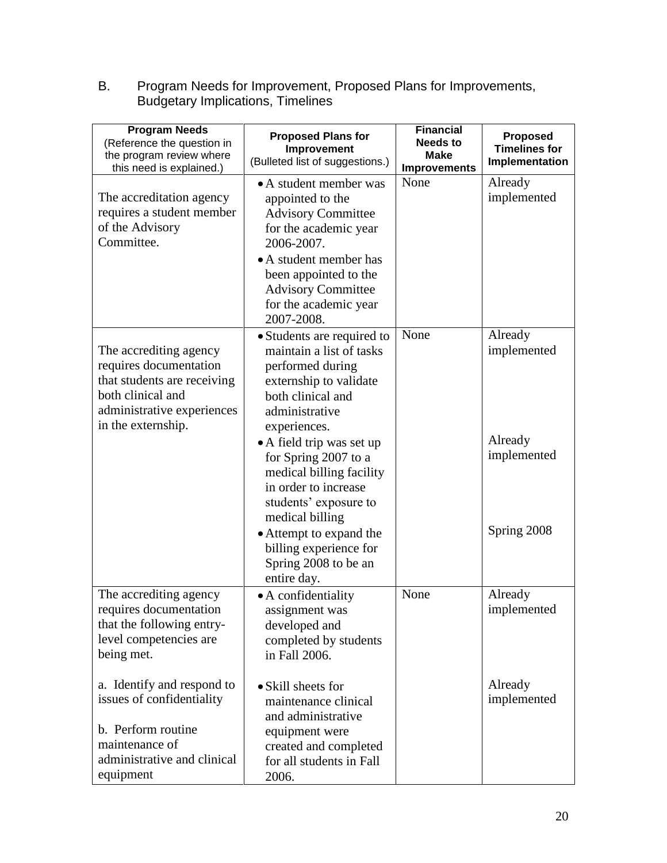B. Program Needs for Improvement, Proposed Plans for Improvements, Budgetary Implications, Timelines

| <b>Program Needs</b><br>(Reference the question in<br>the program review where<br>this need is explained.)                                               | <b>Proposed Plans for</b><br>Improvement<br>(Bulleted list of suggestions.)                                                                                                                                                                                                                                                                                                                                  | <b>Financial</b><br><b>Needs to</b><br><b>Make</b><br><b>Improvements</b> | <b>Proposed</b><br><b>Timelines for</b><br>Implementation       |
|----------------------------------------------------------------------------------------------------------------------------------------------------------|--------------------------------------------------------------------------------------------------------------------------------------------------------------------------------------------------------------------------------------------------------------------------------------------------------------------------------------------------------------------------------------------------------------|---------------------------------------------------------------------------|-----------------------------------------------------------------|
| The accreditation agency<br>requires a student member<br>of the Advisory<br>Committee.                                                                   | • A student member was<br>appointed to the<br><b>Advisory Committee</b><br>for the academic year<br>2006-2007.<br>• A student member has<br>been appointed to the<br><b>Advisory Committee</b><br>for the academic year<br>2007-2008.                                                                                                                                                                        | None                                                                      | Already<br>implemented                                          |
| The accrediting agency<br>requires documentation<br>that students are receiving<br>both clinical and<br>administrative experiences<br>in the externship. | • Students are required to<br>maintain a list of tasks<br>performed during<br>externship to validate<br>both clinical and<br>administrative<br>experiences.<br>• A field trip was set up<br>for Spring 2007 to a<br>medical billing facility<br>in order to increase<br>students' exposure to<br>medical billing<br>• Attempt to expand the<br>billing experience for<br>Spring 2008 to be an<br>entire day. | None                                                                      | Already<br>implemented<br>Already<br>implemented<br>Spring 2008 |
| The accrediting agency<br>requires documentation<br>that the following entry-<br>level competencies are<br>being met.                                    | • A confidentiality<br>assignment was<br>developed and<br>completed by students<br>in Fall 2006.                                                                                                                                                                                                                                                                                                             | None                                                                      | Already<br>implemented                                          |
| a. Identify and respond to<br>issues of confidentiality<br>b. Perform routine<br>maintenance of<br>administrative and clinical<br>equipment              | • Skill sheets for<br>maintenance clinical<br>and administrative<br>equipment were<br>created and completed<br>for all students in Fall<br>2006.                                                                                                                                                                                                                                                             |                                                                           | Already<br>implemented                                          |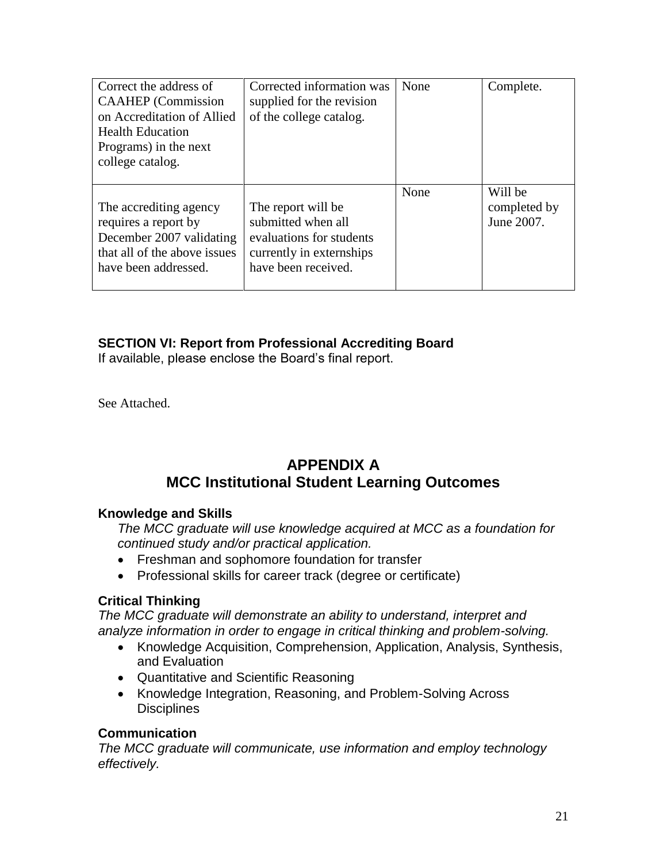| Correct the address of<br><b>CAAHEP</b> (Commission<br>on Accreditation of Allied<br><b>Health Education</b><br>Programs) in the next<br>college catalog. | Corrected information was<br>supplied for the revision<br>of the college catalog.                                       | None | Complete.                             |
|-----------------------------------------------------------------------------------------------------------------------------------------------------------|-------------------------------------------------------------------------------------------------------------------------|------|---------------------------------------|
| The accrediting agency<br>requires a report by<br>December 2007 validating<br>that all of the above issues<br>have been addressed.                        | The report will be<br>submitted when all<br>evaluations for students<br>currently in externships<br>have been received. | None | Will be<br>completed by<br>June 2007. |

### **SECTION VI: Report from Professional Accrediting Board**

If available, please enclose the Board's final report.

See Attached.

# **APPENDIX A MCC Institutional Student Learning Outcomes**

### **Knowledge and Skills**

*The MCC graduate will use knowledge acquired at MCC as a foundation for continued study and/or practical application.*

- Freshman and sophomore foundation for transfer
- Professional skills for career track (degree or certificate)

### **Critical Thinking**

*The MCC graduate will demonstrate an ability to understand, interpret and analyze information in order to engage in critical thinking and problem-solving.*

- Knowledge Acquisition, Comprehension, Application, Analysis, Synthesis, and Evaluation
- Quantitative and Scientific Reasoning
- Knowledge Integration, Reasoning, and Problem-Solving Across **Disciplines**

### **Communication**

*The MCC graduate will communicate, use information and employ technology effectively.*